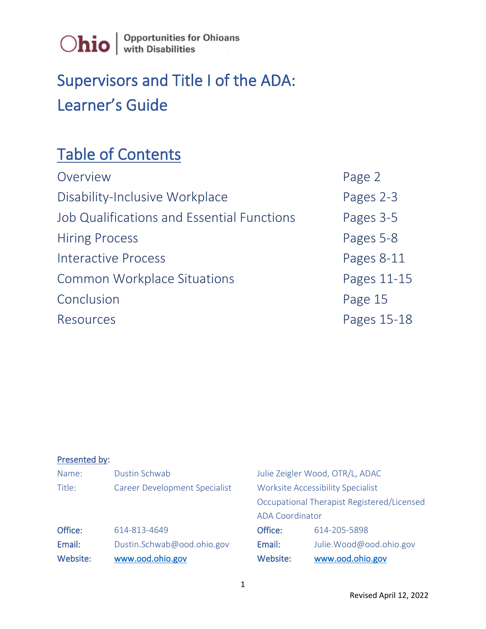

### Supervisors and Title I of the ADA: Learner's Guide

### Table of Contents

| Overview                                   | Page 2      |
|--------------------------------------------|-------------|
| Disability-Inclusive Workplace             | Pages 2-3   |
| Job Qualifications and Essential Functions | Pages 3-5   |
| <b>Hiring Process</b>                      | Pages 5-8   |
| Interactive Process                        | Pages 8-11  |
| <b>Common Workplace Situations</b>         | Pages 11-15 |
| Conclusion                                 | Page 15     |
| Resources                                  | Pages 15-18 |

#### Presented by:

| Website: | www.ood.ohio.gov                     | Website:                                 | www.ood.ohio.gov                           |
|----------|--------------------------------------|------------------------------------------|--------------------------------------------|
| Email:   | Dustin.Schwab@ood.ohio.gov           | Email:                                   | Julie. Wood@ood.ohio.gov                   |
| Office:  | 614-813-4649                         | Office:                                  | 614-205-5898                               |
|          |                                      | <b>ADA Coordinator</b>                   |                                            |
|          |                                      |                                          | Occupational Therapist Registered/Licensed |
| Title:   | <b>Career Development Specialist</b> | <b>Worksite Accessibility Specialist</b> |                                            |
| Name:    | Dustin Schwab                        |                                          | Julie Zeigler Wood, OTR/L, ADAC            |
|          |                                      |                                          |                                            |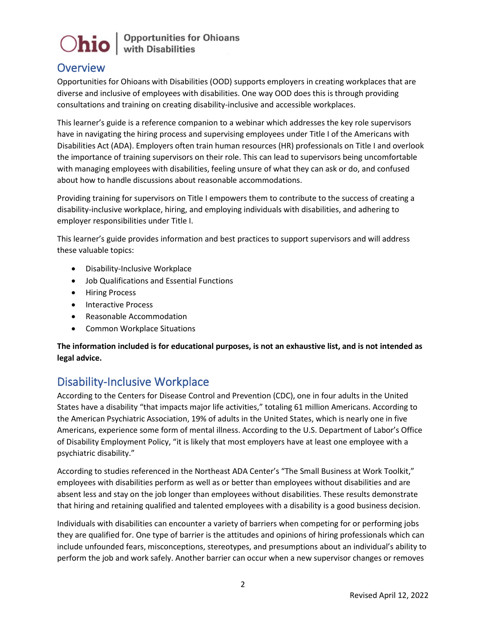### **Overview**

Opportunities for Ohioans with Disabilities (OOD) supports employers in creating workplaces that are diverse and inclusive of employees with disabilities. One way OOD does this is through providing consultations and training on creating disability-inclusive and accessible workplaces.

This learner's guide is a reference companion to a webinar which addresses the key role supervisors have in navigating the hiring process and supervising employees under Title I of the Americans with Disabilities Act (ADA). Employers often train human resources (HR) professionals on Title I and overlook the importance of training supervisors on their role. This can lead to supervisors being uncomfortable with managing employees with disabilities, feeling unsure of what they can ask or do, and confused about how to handle discussions about reasonable accommodations.

Providing training for supervisors on Title I empowers them to contribute to the success of creating a disability-inclusive workplace, hiring, and employing individuals with disabilities, and adhering to employer responsibilities under Title I.

This learner's guide provides information and best practices to support supervisors and will address these valuable topics:

- Disability-Inclusive Workplace
- Job Qualifications and Essential Functions
- Hiring Process
- Interactive Process
- Reasonable Accommodation
- Common Workplace Situations

**The information included is for educational purposes, is not an exhaustive list, and is not intended as legal advice.** 

### Disability-Inclusive Workplace

According to the Centers for Disease Control and Prevention (CDC), one in four adults in the United States have a disability "that impacts major life activities," totaling 61 million Americans. According to the American Psychiatric Association, 19% of adults in the United States, which is nearly one in five Americans, experience some form of mental illness. According to the U.S. Department of Labor's Office of Disability Employment Policy, "it is likely that most employers have at least one employee with a psychiatric disability."

According to studies referenced in the Northeast ADA Center's "The Small Business at Work Toolkit," employees with disabilities perform as well as or better than employees without disabilities and are absent less and stay on the job longer than employees without disabilities. These results demonstrate that hiring and retaining qualified and talented employees with a disability is a good business decision.

Individuals with disabilities can encounter a variety of barriers when competing for or performing jobs they are qualified for. One type of barrier is the attitudes and opinions of hiring professionals which can include unfounded fears, misconceptions, stereotypes, and presumptions about an individual's ability to perform the job and work safely. Another barrier can occur when a new supervisor changes or removes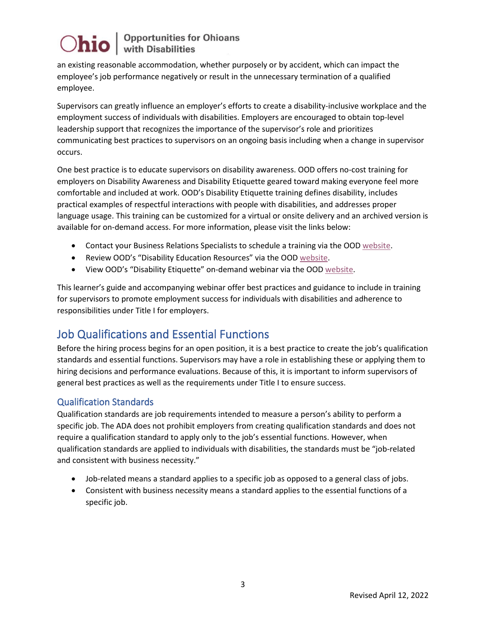an existing reasonable accommodation, whether purposely or by accident, which can impact the employee's job performance negatively or result in the unnecessary termination of a qualified employee.

Supervisors can greatly influence an employer's efforts to create a disability-inclusive workplace and the employment success of individuals with disabilities. Employers are encouraged to obtain top-level leadership support that recognizes the importance of the supervisor's role and prioritizes communicating best practices to supervisors on an ongoing basis including when a change in supervisor occurs.

One best practice is to educate supervisors on disability awareness. OOD offers no-cost training for employers on Disability Awareness and Disability Etiquette geared toward making everyone feel more comfortable and included at work. OOD's Disability Etiquette training defines disability, includes practical examples of respectful interactions with people with disabilities, and addresses proper language usage. This training can be customized for a virtual or onsite delivery and an archived version is available for on-demand access. For more information, please visit the links below:

- Contact your Business Relations Specialists to schedule a training via the OOD [website.](https://ood.ohio.gov/wps/portal/gov/ood/information-for-employers/business-relations-team/)
- Review OOD's "Disability Education Resources" via the OOD [website.](https://ood.ohio.gov/wps/portal/gov/ood/information-for-employers/employer-resources/no-cost-disability-etiquette-and-awareness-training)
- View OOD's "Disability Etiquette" on-demand webinar via the OOD [website.](https://ood.ohio.gov/wps/portal/gov/ood/information-for-employers/employer-resources/06-disability-etiquette-training)

This learner's guide and accompanying webinar offer best practices and guidance to include in training for supervisors to promote employment success for individuals with disabilities and adherence to responsibilities under Title I for employers.

### Job Qualifications and Essential Functions

Before the hiring process begins for an open position, it is a best practice to create the job's qualification standards and essential functions. Supervisors may have a role in establishing these or applying them to hiring decisions and performance evaluations. Because of this, it is important to inform supervisors of general best practices as well as the requirements under Title I to ensure success.

### Qualification Standards

Qualification standards are job requirements intended to measure a person's ability to perform a specific job. The ADA does not prohibit employers from creating qualification standards and does not require a qualification standard to apply only to the job's essential functions. However, when qualification standards are applied to individuals with disabilities, the standards must be "job-related and consistent with business necessity."

- Job-related means a standard applies to a specific job as opposed to a general class of jobs.
- Consistent with business necessity means a standard applies to the essential functions of a specific job.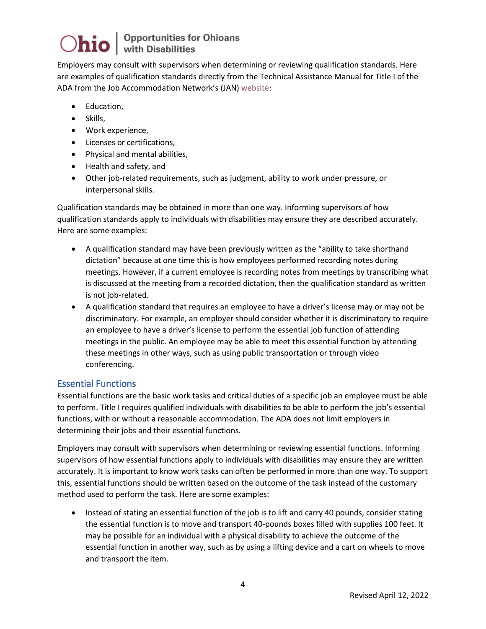Employers may consult with supervisors when determining or reviewing qualification standards. Here are examples of qualification standards directly from the Technical Assistance Manual for Title I of the ADA from the Job Accommodation Network's (JAN) [website:](https://askjan.org/publications/ada-specific/Technical-Assistance-Manual-for-Title-I-of-the-ADA.cfm?csSearch=3385932_1#spy-scroll-heading-39)

- Education,
- Skills,
- Work experience,
- Licenses or certifications,
- Physical and mental abilities,
- Health and safety, and
- Other job-related requirements, such as judgment, ability to work under pressure, or interpersonal skills.

Qualification standards may be obtained in more than one way. Informing supervisors of how qualification standards apply to individuals with disabilities may ensure they are described accurately. Here are some examples:

- A qualification standard may have been previously written as the "ability to take shorthand dictation" because at one time this is how employees performed recording notes during meetings. However, if a current employee is recording notes from meetings by transcribing what is discussed at the meeting from a recorded dictation, then the qualification standard as written is not job-related.
- A qualification standard that requires an employee to have a driver's license may or may not be discriminatory. For example, an employer should consider whether it is discriminatory to require an employee to have a driver's license to perform the essential job function of attending meetings in the public. An employee may be able to meet this essential function by attending these meetings in other ways, such as using public transportation or through video conferencing.

#### Essential Functions

Essential functions are the basic work tasks and critical duties of a specific job an employee must be able to perform. Title I requires qualified individuals with disabilities to be able to perform the job's essential functions, with or without a reasonable accommodation. The ADA does not limit employers in determining their jobs and their essential functions.

Employers may consult with supervisors when determining or reviewing essential functions. Informing supervisors of how essential functions apply to individuals with disabilities may ensure they are written accurately. It is important to know work tasks can often be performed in more than one way. To support this, essential functions should be written based on the outcome of the task instead of the customary method used to perform the task. Here are some examples:

• Instead of stating an essential function of the job is to lift and carry 40 pounds, consider stating the essential function is to move and transport 40-pounds boxes filled with supplies 100 feet. It may be possible for an individual with a physical disability to achieve the outcome of the essential function in another way, such as by using a lifting device and a cart on wheels to move and transport the item.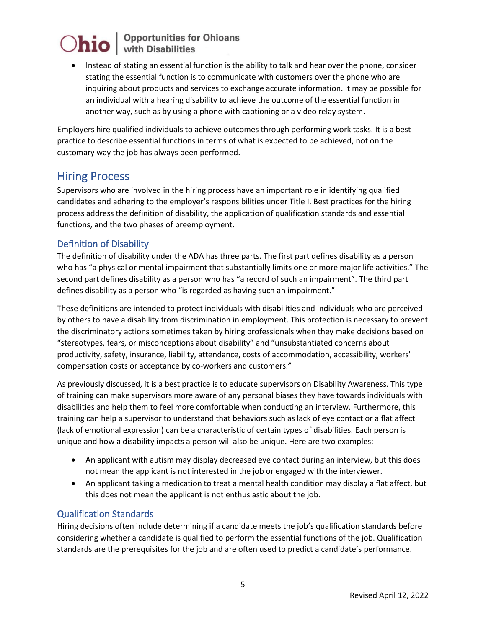• Instead of stating an essential function is the ability to talk and hear over the phone, consider stating the essential function is to communicate with customers over the phone who are inquiring about products and services to exchange accurate information. It may be possible for an individual with a hearing disability to achieve the outcome of the essential function in another way, such as by using a phone with captioning or a video relay system.

Employers hire qualified individuals to achieve outcomes through performing work tasks. It is a best practice to describe essential functions in terms of what is expected to be achieved, not on the customary way the job has always been performed.

### Hiring Process

Supervisors who are involved in the hiring process have an important role in identifying qualified candidates and adhering to the employer's responsibilities under Title I. Best practices for the hiring process address the definition of disability, the application of qualification standards and essential functions, and the two phases of preemployment.

### Definition of Disability

The definition of disability under the ADA has three parts. The first part defines disability as a person who has "a physical or mental impairment that substantially limits one or more major life activities." The second part defines disability as a person who has "a record of such an impairment". The third part defines disability as a person who "is regarded as having such an impairment."

These definitions are intended to protect individuals with disabilities and individuals who are perceived by others to have a disability from discrimination in employment. This protection is necessary to prevent the discriminatory actions sometimes taken by hiring professionals when they make decisions based on "stereotypes, fears, or misconceptions about disability" and "unsubstantiated concerns about productivity, safety, insurance, liability, attendance, costs of accommodation, accessibility, workers' compensation costs or acceptance by co-workers and customers."

As previously discussed, it is a best practice is to educate supervisors on Disability Awareness. This type of training can make supervisors more aware of any personal biases they have towards individuals with disabilities and help them to feel more comfortable when conducting an interview. Furthermore, this training can help a supervisor to understand that behaviors such as lack of eye contact or a flat affect (lack of emotional expression) can be a characteristic of certain types of disabilities. Each person is unique and how a disability impacts a person will also be unique. Here are two examples:

- An applicant with autism may display decreased eye contact during an interview, but this does not mean the applicant is not interested in the job or engaged with the interviewer.
- An applicant taking a medication to treat a mental health condition may display a flat affect, but this does not mean the applicant is not enthusiastic about the job.

#### Qualification Standards

Hiring decisions often include determining if a candidate meets the job's qualification standards before considering whether a candidate is qualified to perform the essential functions of the job. Qualification standards are the prerequisites for the job and are often used to predict a candidate's performance.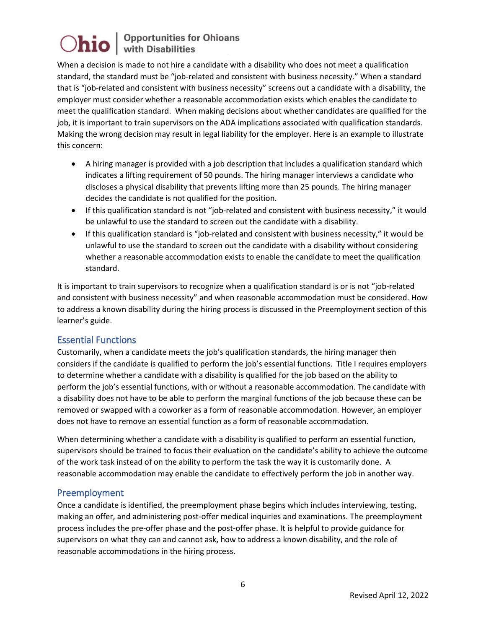When a decision is made to not hire a candidate with a disability who does not meet a qualification standard, the standard must be "job-related and consistent with business necessity." When a standard that is "job-related and consistent with business necessity" screens out a candidate with a disability, the employer must consider whether a reasonable accommodation exists which enables the candidate to meet the qualification standard. When making decisions about whether candidates are qualified for the job, it is important to train supervisors on the ADA implications associated with qualification standards. Making the wrong decision may result in legal liability for the employer. Here is an example to illustrate this concern:

- A hiring manager is provided with a job description that includes a qualification standard which indicates a lifting requirement of 50 pounds. The hiring manager interviews a candidate who discloses a physical disability that prevents lifting more than 25 pounds. The hiring manager decides the candidate is not qualified for the position.
- If this qualification standard is not "job-related and consistent with business necessity," it would be unlawful to use the standard to screen out the candidate with a disability.
- If this qualification standard is "job-related and consistent with business necessity," it would be unlawful to use the standard to screen out the candidate with a disability without considering whether a reasonable accommodation exists to enable the candidate to meet the qualification standard.

It is important to train supervisors to recognize when a qualification standard is or is not "job-related and consistent with business necessity" and when reasonable accommodation must be considered. How to address a known disability during the hiring process is discussed in the Preemployment section of this learner's guide.

#### Essential Functions

Customarily, when a candidate meets the job's qualification standards, the hiring manager then considers if the candidate is qualified to perform the job's essential functions. Title I requires employers to determine whether a candidate with a disability is qualified for the job based on the ability to perform the job's essential functions, with or without a reasonable accommodation. The candidate with a disability does not have to be able to perform the marginal functions of the job because these can be removed or swapped with a coworker as a form of reasonable accommodation. However, an employer does not have to remove an essential function as a form of reasonable accommodation.

When determining whether a candidate with a disability is qualified to perform an essential function, supervisors should be trained to focus their evaluation on the candidate's ability to achieve the outcome of the work task instead of on the ability to perform the task the way it is customarily done. A reasonable accommodation may enable the candidate to effectively perform the job in another way.

#### Preemployment

Once a candidate is identified, the preemployment phase begins which includes interviewing, testing, making an offer, and administering post-offer medical inquiries and examinations. The preemployment process includes the pre-offer phase and the post-offer phase. It is helpful to provide guidance for supervisors on what they can and cannot ask, how to address a known disability, and the role of reasonable accommodations in the hiring process.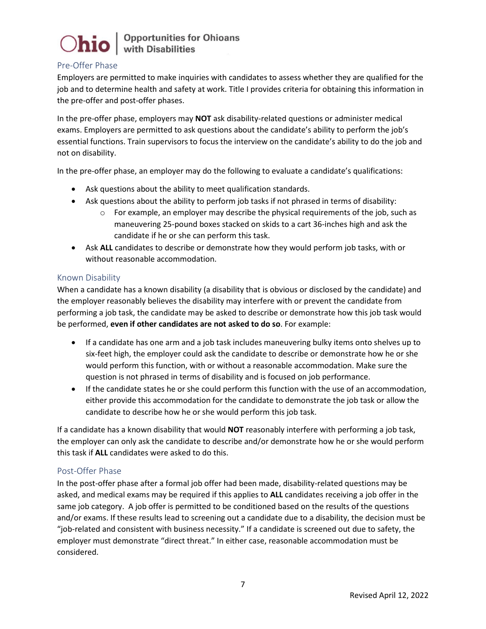

#### Pre-Offer Phase

Employers are permitted to make inquiries with candidates to assess whether they are qualified for the job and to determine health and safety at work. Title I provides criteria for obtaining this information in the pre-offer and post-offer phases.

In the pre-offer phase, employers may **NOT** ask disability-related questions or administer medical exams. Employers are permitted to ask questions about the candidate's ability to perform the job's essential functions. Train supervisors to focus the interview on the candidate's ability to do the job and not on disability.

In the pre-offer phase, an employer may do the following to evaluate a candidate's qualifications:

- Ask questions about the ability to meet qualification standards.
- Ask questions about the ability to perform job tasks if not phrased in terms of disability:
	- $\circ$  For example, an employer may describe the physical requirements of the job, such as maneuvering 25-pound boxes stacked on skids to a cart 36-inches high and ask the candidate if he or she can perform this task.
- Ask **ALL** candidates to describe or demonstrate how they would perform job tasks, with or without reasonable accommodation.

#### Known Disability

When a candidate has a known disability (a disability that is obvious or disclosed by the candidate) and the employer reasonably believes the disability may interfere with or prevent the candidate from performing a job task, the candidate may be asked to describe or demonstrate how this job task would be performed, **even if other candidates are not asked to do so**. For example:

- If a candidate has one arm and a job task includes maneuvering bulky items onto shelves up to six-feet high, the employer could ask the candidate to describe or demonstrate how he or she would perform this function, with or without a reasonable accommodation. Make sure the question is not phrased in terms of disability and is focused on job performance.
- If the candidate states he or she could perform this function with the use of an accommodation, either provide this accommodation for the candidate to demonstrate the job task or allow the candidate to describe how he or she would perform this job task.

If a candidate has a known disability that would **NOT** reasonably interfere with performing a job task, the employer can only ask the candidate to describe and/or demonstrate how he or she would perform this task if **ALL** candidates were asked to do this.

#### Post-Offer Phase

In the post-offer phase after a formal job offer had been made, disability-related questions may be asked, and medical exams may be required if this applies to **ALL** candidates receiving a job offer in the same job category. A job offer is permitted to be conditioned based on the results of the questions and/or exams. If these results lead to screening out a candidate due to a disability, the decision must be "job-related and consistent with business necessity." If a candidate is screened out due to safety, the employer must demonstrate "direct threat." In either case, reasonable accommodation must be considered.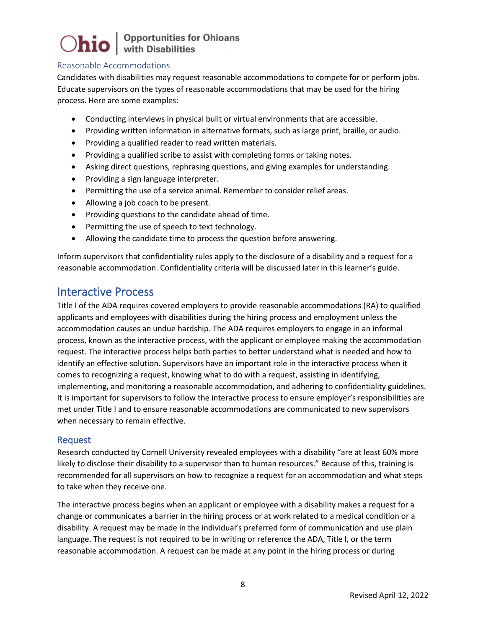#### Reasonable Accommodations

Candidates with disabilities may request reasonable accommodations to compete for or perform jobs. Educate supervisors on the types of reasonable accommodations that may be used for the hiring process. Here are some examples:

- Conducting interviews in physical built or virtual environments that are accessible.
- Providing written information in alternative formats, such as large print, braille, or audio.
- Providing a qualified reader to read written materials.
- Providing a qualified scribe to assist with completing forms or taking notes.
- Asking direct questions, rephrasing questions, and giving examples for understanding.
- Providing a sign language interpreter.
- Permitting the use of a service animal. Remember to consider relief areas.
- Allowing a job coach to be present.
- Providing questions to the candidate ahead of time.
- Permitting the use of speech to text technology.
- Allowing the candidate time to process the question before answering.

Inform supervisors that confidentiality rules apply to the disclosure of a disability and a request for a reasonable accommodation. Confidentiality criteria will be discussed later in this learner's guide.

### Interactive Process

Title I of the ADA requires covered employers to provide reasonable accommodations (RA) to qualified applicants and employees with disabilities during the hiring process and employment unless the accommodation causes an undue hardship. The ADA requires employers to engage in an informal process, known as the interactive process, with the applicant or employee making the accommodation request. The interactive process helps both parties to better understand what is needed and how to identify an effective solution. Supervisors have an important role in the interactive process when it comes to recognizing a request, knowing what to do with a request, assisting in identifying, implementing, and monitoring a reasonable accommodation, and adhering to confidentiality guidelines. It is important for supervisors to follow the interactive process to ensure employer's responsibilities are met under Title I and to ensure reasonable accommodations are communicated to new supervisors when necessary to remain effective.

#### Request

Research conducted by Cornell University revealed employees with a disability "are at least 60% more likely to disclose their disability to a supervisor than to human resources." Because of this, training is recommended for all supervisors on how to recognize a request for an accommodation and what steps to take when they receive one.

The interactive process begins when an applicant or employee with a disability makes a request for a change or communicates a barrier in the hiring process or at work related to a medical condition or a disability. A request may be made in the individual's preferred form of communication and use plain language. The request is not required to be in writing or reference the ADA, Title I, or the term reasonable accommodation. A request can be made at any point in the hiring process or during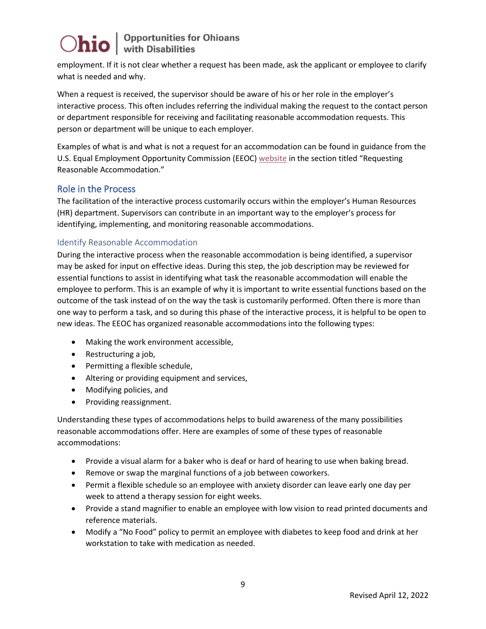employment. If it is not clear whether a request has been made, ask the applicant or employee to clarify what is needed and why.

When a request is received, the supervisor should be aware of his or her role in the employer's interactive process. This often includes referring the individual making the request to the contact person or department responsible for receiving and facilitating reasonable accommodation requests. This person or department will be unique to each employer.

Examples of what is and what is not a request for an accommodation can be found in guidance from the U.S. Equal Employment Opportunity Commission (EEOC) [website](https://www.eeoc.gov/laws/guidance/enforcement-guidance-reasonable-accommodation-and-undue-hardship-under-ada#intro) in the section titled "Requesting Reasonable Accommodation."

#### Role in the Process

The facilitation of the interactive process customarily occurs within the employer's Human Resources (HR) department. Supervisors can contribute in an important way to the employer's process for identifying, implementing, and monitoring reasonable accommodations.

#### Identify Reasonable Accommodation

During the interactive process when the reasonable accommodation is being identified, a supervisor may be asked for input on effective ideas. During this step, the job description may be reviewed for essential functions to assist in identifying what task the reasonable accommodation will enable the employee to perform. This is an example of why it is important to write essential functions based on the outcome of the task instead of on the way the task is customarily performed. Often there is more than one way to perform a task, and so during this phase of the interactive process, it is helpful to be open to new ideas. The EEOC has organized reasonable accommodations into the following types:

- Making the work environment accessible,
- Restructuring a job,
- Permitting a flexible schedule,
- Altering or providing equipment and services,
- Modifying policies, and
- Providing reassignment.

Understanding these types of accommodations helps to build awareness of the many possibilities reasonable accommodations offer. Here are examples of some of these types of reasonable accommodations:

- Provide a visual alarm for a baker who is deaf or hard of hearing to use when baking bread.
- Remove or swap the marginal functions of a job between coworkers.
- Permit a flexible schedule so an employee with anxiety disorder can leave early one day per week to attend a therapy session for eight weeks.
- Provide a stand magnifier to enable an employee with low vision to read printed documents and reference materials.
- Modify a "No Food" policy to permit an employee with diabetes to keep food and drink at her workstation to take with medication as needed.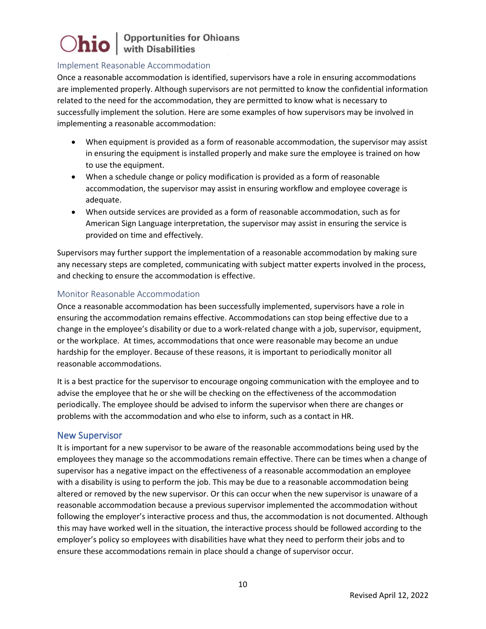#### Implement Reasonable Accommodation

Once a reasonable accommodation is identified, supervisors have a role in ensuring accommodations are implemented properly. Although supervisors are not permitted to know the confidential information related to the need for the accommodation, they are permitted to know what is necessary to successfully implement the solution. Here are some examples of how supervisors may be involved in implementing a reasonable accommodation:

- When equipment is provided as a form of reasonable accommodation, the supervisor may assist in ensuring the equipment is installed properly and make sure the employee is trained on how to use the equipment.
- When a schedule change or policy modification is provided as a form of reasonable accommodation, the supervisor may assist in ensuring workflow and employee coverage is adequate.
- When outside services are provided as a form of reasonable accommodation, such as for American Sign Language interpretation, the supervisor may assist in ensuring the service is provided on time and effectively.

Supervisors may further support the implementation of a reasonable accommodation by making sure any necessary steps are completed, communicating with subject matter experts involved in the process, and checking to ensure the accommodation is effective.

#### Monitor Reasonable Accommodation

Once a reasonable accommodation has been successfully implemented, supervisors have a role in ensuring the accommodation remains effective. Accommodations can stop being effective due to a change in the employee's disability or due to a work-related change with a job, supervisor, equipment, or the workplace. At times, accommodations that once were reasonable may become an undue hardship for the employer. Because of these reasons, it is important to periodically monitor all reasonable accommodations.

It is a best practice for the supervisor to encourage ongoing communication with the employee and to advise the employee that he or she will be checking on the effectiveness of the accommodation periodically. The employee should be advised to inform the supervisor when there are changes or problems with the accommodation and who else to inform, such as a contact in HR.

#### New Supervisor

It is important for a new supervisor to be aware of the reasonable accommodations being used by the employees they manage so the accommodations remain effective. There can be times when a change of supervisor has a negative impact on the effectiveness of a reasonable accommodation an employee with a disability is using to perform the job. This may be due to a reasonable accommodation being altered or removed by the new supervisor. Or this can occur when the new supervisor is unaware of a reasonable accommodation because a previous supervisor implemented the accommodation without following the employer's interactive process and thus, the accommodation is not documented. Although this may have worked well in the situation, the interactive process should be followed according to the employer's policy so employees with disabilities have what they need to perform their jobs and to ensure these accommodations remain in place should a change of supervisor occur.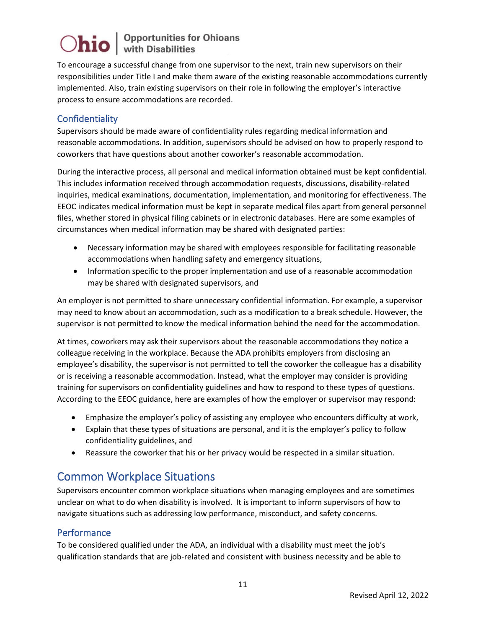To encourage a successful change from one supervisor to the next, train new supervisors on their responsibilities under Title I and make them aware of the existing reasonable accommodations currently implemented. Also, train existing supervisors on their role in following the employer's interactive process to ensure accommodations are recorded.

### **Confidentiality**

Supervisors should be made aware of confidentiality rules regarding medical information and reasonable accommodations. In addition, supervisors should be advised on how to properly respond to coworkers that have questions about another coworker's reasonable accommodation.

During the interactive process, all personal and medical information obtained must be kept confidential. This includes information received through accommodation requests, discussions, disability-related inquiries, medical examinations, documentation, implementation, and monitoring for effectiveness. The EEOC indicates medical information must be kept in separate medical files apart from general personnel files, whether stored in physical filing cabinets or in electronic databases. Here are some examples of circumstances when medical information may be shared with designated parties:

- Necessary information may be shared with employees responsible for facilitating reasonable accommodations when handling safety and emergency situations,
- Information specific to the proper implementation and use of a reasonable accommodation may be shared with designated supervisors, and

An employer is not permitted to share unnecessary confidential information. For example, a supervisor may need to know about an accommodation, such as a modification to a break schedule. However, the supervisor is not permitted to know the medical information behind the need for the accommodation.

At times, coworkers may ask their supervisors about the reasonable accommodations they notice a colleague receiving in the workplace. Because the ADA prohibits employers from disclosing an employee's disability, the supervisor is not permitted to tell the coworker the colleague has a disability or is receiving a reasonable accommodation. Instead, what the employer may consider is providing training for supervisors on confidentiality guidelines and how to respond to these types of questions. According to the EEOC guidance, here are examples of how the employer or supervisor may respond:

- Emphasize the employer's policy of assisting any employee who encounters difficulty at work,
- Explain that these types of situations are personal, and it is the employer's policy to follow confidentiality guidelines, and
- Reassure the coworker that his or her privacy would be respected in a similar situation.

### Common Workplace Situations

Supervisors encounter common workplace situations when managing employees and are sometimes unclear on what to do when disability is involved. It is important to inform supervisors of how to navigate situations such as addressing low performance, misconduct, and safety concerns.

#### Performance

To be considered qualified under the ADA, an individual with a disability must meet the job's qualification standards that are job-related and consistent with business necessity and be able to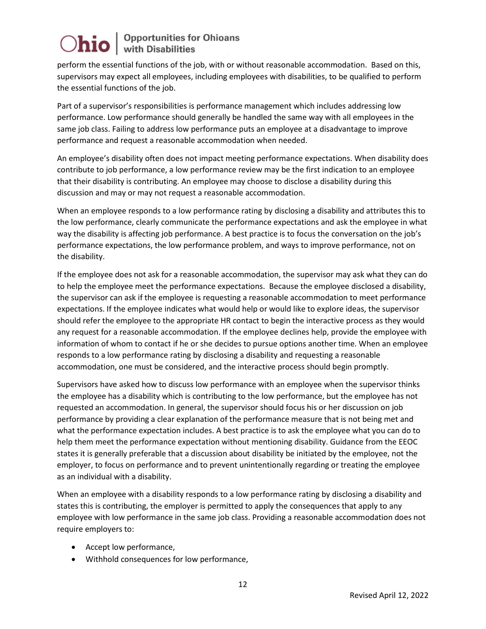perform the essential functions of the job, with or without reasonable accommodation. Based on this, supervisors may expect all employees, including employees with disabilities, to be qualified to perform the essential functions of the job.

Part of a supervisor's responsibilities is performance management which includes addressing low performance. Low performance should generally be handled the same way with all employees in the same job class. Failing to address low performance puts an employee at a disadvantage to improve performance and request a reasonable accommodation when needed.

An employee's disability often does not impact meeting performance expectations. When disability does contribute to job performance, a low performance review may be the first indication to an employee that their disability is contributing. An employee may choose to disclose a disability during this discussion and may or may not request a reasonable accommodation.

When an employee responds to a low performance rating by disclosing a disability and attributes this to the low performance, clearly communicate the performance expectations and ask the employee in what way the disability is affecting job performance. A best practice is to focus the conversation on the job's performance expectations, the low performance problem, and ways to improve performance, not on the disability.

If the employee does not ask for a reasonable accommodation, the supervisor may ask what they can do to help the employee meet the performance expectations. Because the employee disclosed a disability, the supervisor can ask if the employee is requesting a reasonable accommodation to meet performance expectations. If the employee indicates what would help or would like to explore ideas, the supervisor should refer the employee to the appropriate HR contact to begin the interactive process as they would any request for a reasonable accommodation. If the employee declines help, provide the employee with information of whom to contact if he or she decides to pursue options another time. When an employee responds to a low performance rating by disclosing a disability and requesting a reasonable accommodation, one must be considered, and the interactive process should begin promptly.

Supervisors have asked how to discuss low performance with an employee when the supervisor thinks the employee has a disability which is contributing to the low performance, but the employee has not requested an accommodation. In general, the supervisor should focus his or her discussion on job performance by providing a clear explanation of the performance measure that is not being met and what the performance expectation includes. A best practice is to ask the employee what you can do to help them meet the performance expectation without mentioning disability. Guidance from the EEOC states it is generally preferable that a discussion about disability be initiated by the employee, not the employer, to focus on performance and to prevent unintentionally regarding or treating the employee as an individual with a disability.

When an employee with a disability responds to a low performance rating by disclosing a disability and states this is contributing, the employer is permitted to apply the consequences that apply to any employee with low performance in the same job class. Providing a reasonable accommodation does not require employers to:

- Accept low performance,
- Withhold consequences for low performance,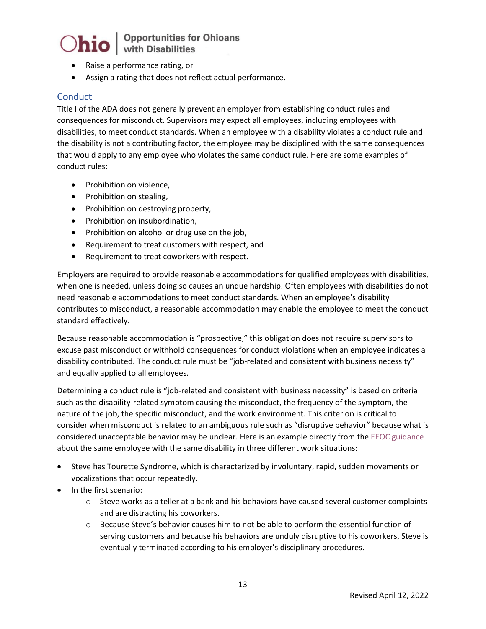# $\bigcirc$ hio  $\big|$  Opportunities for Ohioans

- Raise a performance rating, or
- Assign a rating that does not reflect actual performance.

#### **Conduct**

Title I of the ADA does not generally prevent an employer from establishing conduct rules and consequences for misconduct. Supervisors may expect all employees, including employees with disabilities, to meet conduct standards. When an employee with a disability violates a conduct rule and the disability is not a contributing factor, the employee may be disciplined with the same consequences that would apply to any employee who violates the same conduct rule. Here are some examples of conduct rules:

- Prohibition on violence,
- Prohibition on stealing,
- Prohibition on destroying property,
- Prohibition on insubordination,
- Prohibition on alcohol or drug use on the job,
- Requirement to treat customers with respect, and
- Requirement to treat coworkers with respect.

Employers are required to provide reasonable accommodations for qualified employees with disabilities, when one is needed, unless doing so causes an undue hardship. Often employees with disabilities do not need reasonable accommodations to meet conduct standards. When an employee's disability contributes to misconduct, a reasonable accommodation may enable the employee to meet the conduct standard effectively.

Because reasonable accommodation is "prospective," this obligation does not require supervisors to excuse past misconduct or withhold consequences for conduct violations when an employee indicates a disability contributed. The conduct rule must be "job-related and consistent with business necessity" and equally applied to all employees.

Determining a conduct rule is "job-related and consistent with business necessity" is based on criteria such as the disability-related symptom causing the misconduct, the frequency of the symptom, the nature of the job, the specific misconduct, and the work environment. This criterion is critical to consider when misconduct is related to an ambiguous rule such as "disruptive behavior" because what is considered unacceptable behavior may be unclear. Here is an example directly from the **EEOC** guidance about the same employee with the same disability in three different work situations:

- Steve has Tourette Syndrome, which is characterized by involuntary, rapid, sudden movements or vocalizations that occur repeatedly.
- In the first scenario:
	- $\circ$  Steve works as a teller at a bank and his behaviors have caused several customer complaints and are distracting his coworkers.
	- $\circ$  Because Steve's behavior causes him to not be able to perform the essential function of serving customers and because his behaviors are unduly disruptive to his coworkers, Steve is eventually terminated according to his employer's disciplinary procedures.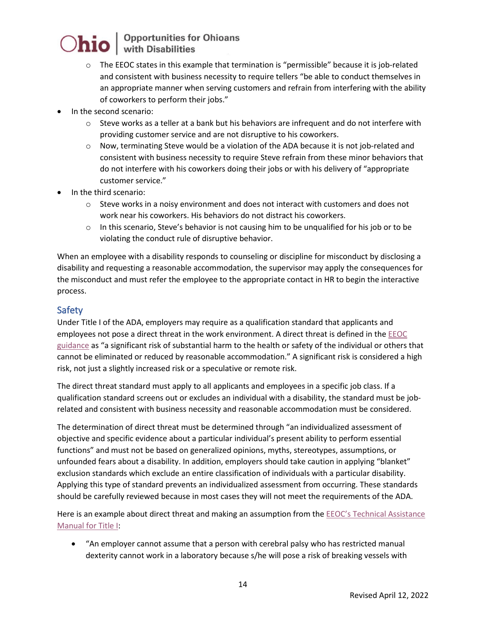# $\bigcirc$ hio  $\big|$  Opportunities for Ohioans

- $\circ$  The EEOC states in this example that termination is "permissible" because it is job-related and consistent with business necessity to require tellers "be able to conduct themselves in an appropriate manner when serving customers and refrain from interfering with the ability of coworkers to perform their jobs."
- In the second scenario:
	- $\circ$  Steve works as a teller at a bank but his behaviors are infrequent and do not interfere with providing customer service and are not disruptive to his coworkers.
	- $\circ$  Now, terminating Steve would be a violation of the ADA because it is not job-related and consistent with business necessity to require Steve refrain from these minor behaviors that do not interfere with his coworkers doing their jobs or with his delivery of "appropriate customer service."
- In the third scenario:
	- $\circ$  Steve works in a noisy environment and does not interact with customers and does not work near his coworkers. His behaviors do not distract his coworkers.
	- $\circ$  In this scenario, Steve's behavior is not causing him to be unqualified for his job or to be violating the conduct rule of disruptive behavior.

When an employee with a disability responds to counseling or discipline for misconduct by disclosing a disability and requesting a reasonable accommodation, the supervisor may apply the consequences for the misconduct and must refer the employee to the appropriate contact in HR to begin the interactive process.

### Safety

Under Title I of the ADA, employers may require as a qualification standard that applicants and employees not pose a direct threat in the work environment. A direct threat is defined in the [EEOC](https://www.eeoc.gov/laws/guidance/enforcement-guidance-ada-and-psychiatric-disabilities)  [guidance](https://www.eeoc.gov/laws/guidance/enforcement-guidance-ada-and-psychiatric-disabilities) as "a significant risk of substantial harm to the health or safety of the individual or others that cannot be eliminated or reduced by reasonable accommodation." A significant risk is considered a high risk, not just a slightly increased risk or a speculative or remote risk.

The direct threat standard must apply to all applicants and employees in a specific job class. If a qualification standard screens out or excludes an individual with a disability, the standard must be jobrelated and consistent with business necessity and reasonable accommodation must be considered.

The determination of direct threat must be determined through "an individualized assessment of objective and specific evidence about a particular individual's present ability to perform essential functions" and must not be based on generalized opinions, myths, stereotypes, assumptions, or unfounded fears about a disability. In addition, employers should take caution in applying "blanket" exclusion standards which exclude an entire classification of individuals with a particular disability. Applying this type of standard prevents an individualized assessment from occurring. These standards should be carefully reviewed because in most cases they will not meet the requirements of the ADA.

Here is an example about direct threat and making an assumption from the **EEOC's Technical Assistance** [Manual for Title I:](https://askjan.org/publications/ada-specific/Technical-Assistance-Manual-for-Title-I-of-the-ADA.cfm#spy-scroll-heading-39)

• "An employer cannot assume that a person with cerebral palsy who has restricted manual dexterity cannot work in a laboratory because s/he will pose a risk of breaking vessels with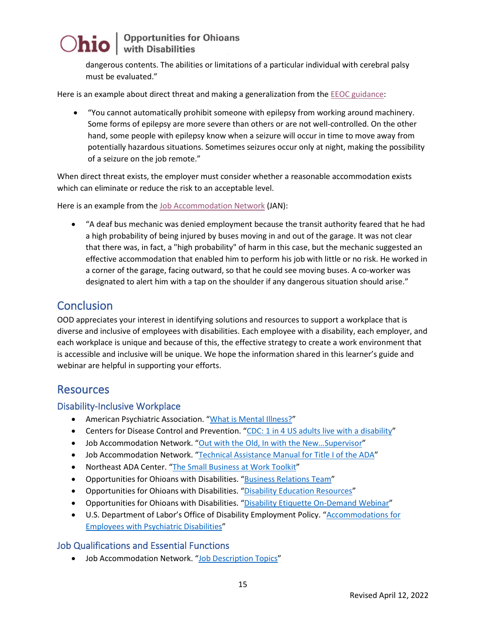dangerous contents. The abilities or limitations of a particular individual with cerebral palsy must be evaluated."

Here is an example about direct threat and making a generalization from th[e EEOC guidance:](https://www.eeoc.gov/laws/guidance/ada-primer-small-business#safetyconcerns)

• "You cannot automatically prohibit someone with epilepsy from working around machinery. Some forms of epilepsy are more severe than others or are not well-controlled. On the other hand, some people with epilepsy know when a seizure will occur in time to move away from potentially hazardous situations. Sometimes seizures occur only at night, making the possibility of a seizure on the job remote."

When direct threat exists, the employer must consider whether a reasonable accommodation exists which can eliminate or reduce the risk to an acceptable level.

Here is an example from the [Job Accommodation Network](https://askjan.org/publications/ada-specific/Technical-Assistance-Manual-for-Title-I-of-the-ADA.cfm#spy-scroll-heading-39) (JAN):

• "A deaf bus mechanic was denied employment because the transit authority feared that he had a high probability of being injured by buses moving in and out of the garage. It was not clear that there was, in fact, a "high probability" of harm in this case, but the mechanic suggested an effective accommodation that enabled him to perform his job with little or no risk. He worked in a corner of the garage, facing outward, so that he could see moving buses. A co-worker was designated to alert him with a tap on the shoulder if any dangerous situation should arise."

### **Conclusion**

OOD appreciates your interest in identifying solutions and resources to support a workplace that is diverse and inclusive of employees with disabilities. Each employee with a disability, each employer, and each workplace is unique and because of this, the effective strategy to create a work environment that is accessible and inclusive will be unique. We hope the information shared in this learner's guide and webinar are helpful in supporting your efforts.

### Resources

#### Disability-Inclusive Workplace

- American Psychiatric Association. ["What is Mental Illness?"](https://www.psychiatry.org/patients-families/what-is-mental-illness)
- Centers for Disease Control and Prevention. ["CDC: 1 in 4 US adults live with a disability"](https://www.cdc.gov/media/releases/2018/p0816-disability.html)
- Job Accommodation Network. "Out with the Old, In with the New...Supervisor"
- Job Accommodation Network. ["Technical Assistance Manual for Title I of the ADA"](https://askjan.org/publications/ada-specific/Technical-Assistance-Manual-for-Title-I-of-the-ADA.cfm?csSearch=3385932_1)
- Northeast ADA Center. ["The Small Business at Work Toolkit"](https://smallbusinessatwork.org/tool/1/playbook)
- Opportunities for Ohioans with Disabilities. ["Business Relations Team"](https://ood.ohio.gov/wps/portal/gov/ood/information-for-employers/business-relations-team/)
- Opportunities for Ohioans with Disabilities. ["Disability Education Resources"](https://ood.ohio.gov/wps/portal/gov/ood/information-for-employers/employer-resources/no-cost-disability-etiquette-and-awareness-training)
- Opportunities for Ohioans with Disabilities. ["Disability Etiquette On-Demand Webinar"](https://ood.ohio.gov/wps/portal/gov/ood/information-for-employers/employer-resources/06-disability-etiquette-training)
- U.S. Department of Labor's Office of Disability Employment Policy. "Accommodations for [Employees with Psychiatric Disabilities"](https://www.dol.gov/agencies/odep/program-areas/mental-health/maximizing-productivity-accommodations-for-employees-with-psychiatric-disabilities)

#### Job Qualifications and Essential Functions

• Job Accommodation Network. ["Job Description Topics"](https://askjan.org/topics/jobdesc.cfm?csSearch=2457457_1)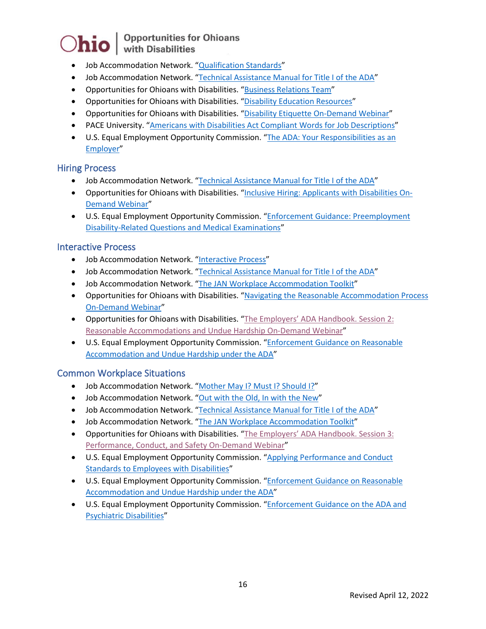# $\bigcirc$ hio  $\big|$  Opportunities for Ohioans

- Job Accommodation Network. ["Qualification Standards"](https://askjan.org/concerns/Qualification-Standards.cfm)
- Job Accommodation Network. ["Technical Assistance Manual for Title I of the ADA"](https://askjan.org/publications/ada-specific/Technical-Assistance-Manual-for-Title-I-of-the-ADA.cfm?csSearch=3385932_1)
- Opportunities for Ohioans with Disabilities. ["Business Relations Team"](https://ood.ohio.gov/wps/portal/gov/ood/information-for-employers/business-relations-team/)
- Opportunities for Ohioans with Disabilities. ["Disability Education Resources"](https://ood.ohio.gov/wps/portal/gov/ood/information-for-employers/employer-resources/no-cost-disability-etiquette-and-awareness-training)
- Opportunities for Ohioans with Disabilities. ["Disability Etiquette On-Demand Webinar"](https://ood.ohio.gov/wps/portal/gov/ood/information-for-employers/employer-resources/06-disability-etiquette-training)
- PACE University. ["Americans with Disabilities Act Compliant Words for Job Descriptions"](https://www.pace.edu/sites/default/files/files/ADA-compliant-words.pdf)
- U.S. Equal Employment Opportunity Commission. ["The ADA: Your Responsibilities as an](https://www.eeoc.gov/laws/guidance/ada-your-responsibilities-employer)  [Employer"](https://www.eeoc.gov/laws/guidance/ada-your-responsibilities-employer)

#### Hiring Process

- Job Accommodation Network. ["Technical Assistance Manual for Title I of the ADA"](https://askjan.org/publications/ada-specific/Technical-Assistance-Manual-for-Title-I-of-the-ADA.cfm?csSearch=3385932_1)
- Opportunities for Ohioans with Disabilities. ["Inclusive Hiring: Applicants with Disabilities On-](https://ood.ohio.gov/wps/portal/gov/ood/information-for-employers/employer-resources/07-inclusive-hiring-applicants-with-disabilities-training)[Demand Webinar"](https://ood.ohio.gov/wps/portal/gov/ood/information-for-employers/employer-resources/07-inclusive-hiring-applicants-with-disabilities-training)
- U.S. Equal Employment Opportunity Commission. ["Enforcement Guidance: Preemployment](https://www.eeoc.gov/laws/guidance/enforcement-guidance-preemployment-disability-related-questions-and-medical)  [Disability-Related Questions and Medical Examinations"](https://www.eeoc.gov/laws/guidance/enforcement-guidance-preemployment-disability-related-questions-and-medical)

#### Interactive Process

- Job Accommodation Network. ["Interactive Process"](https://askjan.org/topics/interactive.cfm)
- Job Accommodation Network. ["Technical Assistance Manual for Title I of the ADA"](https://askjan.org/publications/ada-specific/Technical-Assistance-Manual-for-Title-I-of-the-ADA.cfm?csSearch=3385932_1)
- Job Accommodation Network. ["The JAN Workplace Accommodation Toolkit"](https://askjan.org/toolkit/index.cfm)
- Opportunities for Ohioans with Disabilities. ["Navigating the Reasonable Accommodation Process](https://ood.ohio.gov/wps/portal/gov/ood/information-for-employers/employer-resources/navigating-the-reasonable-accommodation-process) [On-Demand Webinar"](https://ood.ohio.gov/wps/portal/gov/ood/information-for-employers/employer-resources/navigating-the-reasonable-accommodation-process)
- Opportunities for Ohioans with Disabilities. ["The Employers' ADA Handbook. Session 2:](https://ood.ohio.gov/information-for-employers/employer-resources/Employers-ADA-Handbook-Title-I-Overview)  [Reasonable Accommodations and Undue Hardship On-Demand Webinar"](https://ood.ohio.gov/information-for-employers/employer-resources/Employers-ADA-Handbook-Title-I-Overview)
- U.S. Equal Employment Opportunity Commission. ["Enforcement Guidance on Reasonable](https://www.eeoc.gov/laws/guidance/enforcement-guidance-reasonable-accommodation-and-undue-hardship-under-ada#intro)  [Accommodation and Undue Hardship under the ADA"](https://www.eeoc.gov/laws/guidance/enforcement-guidance-reasonable-accommodation-and-undue-hardship-under-ada#intro)

#### Common Workplace Situations

- Job Accommodation Network. ["Mother May I? Must I? Should I?"](https://askjan.org/articles/Mother-May-I-Must-I-Should-I.cfm)
- Job Accommodation Network. ["Out with the Old, In](https://askjan.org/articles/Out-with-the-Old-and-In-with-the-New-Supervisor.cfm) with the New"
- Job Accommodation Network. ["Technical Assistance Manual for Title I of the ADA"](https://askjan.org/publications/ada-specific/Technical-Assistance-Manual-for-Title-I-of-the-ADA.cfm?csSearch=3385932_1)
- Job Accommodation Network. ["The JAN Workplace Accommodation Toolkit"](https://askjan.org/toolkit/index.cfm)
- Opportunities for Ohioans with Disabilities. ["The Employers' ADA Handbook. Session 3:](https://ood.ohio.gov/information-for-employers/employer-resources/Employers-ADA-Handbook-Title-I-Overview)  [Performance, Conduct, and Safety On-Demand Webinar"](https://ood.ohio.gov/information-for-employers/employer-resources/Employers-ADA-Handbook-Title-I-Overview)
- U.S. Equal Employment Opportunity Commission. "Applying Performance and Conduct [Standards to Employees with Disabilities"](https://www.eeoc.gov/laws/guidance/applying-performance-and-conduct-standards-employees-disabilities)
- U.S. Equal Employment Opportunity Commission. "Enforcement Guidance on Reasonable [Accommodation and Undue Hardship under the ADA"](https://www.eeoc.gov/laws/guidance/enforcement-guidance-reasonable-accommodation-and-undue-hardship-under-ada#intro)
- U.S. Equal Employment Opportunity Commission. ["Enforcement Guidance on the ADA and](https://www.eeoc.gov/laws/guidance/enforcement-guidance-ada-and-psychiatric-disabilities)  [Psychiatric Disabilities"](https://www.eeoc.gov/laws/guidance/enforcement-guidance-ada-and-psychiatric-disabilities)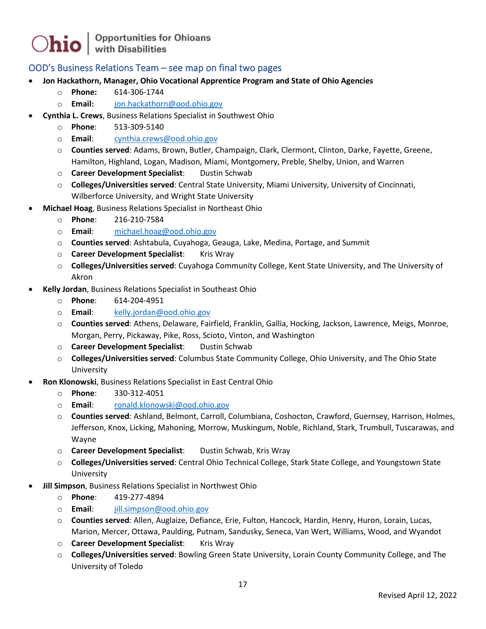#### OOD's Business Relations Team – see map on final two pages

- **Jon Hackathorn, Manager, Ohio Vocational Apprentice Program and State of Ohio Agencies**
	- o **Phone:** 614-306-1744
	- o **Email:** [jon.hackathorn@ood.ohio.gov](mailto:jon.hackathorn@ood.ohio.gov)
- **Cynthia L. Crews**, Business Relations Specialist in Southwest Ohio
	- o **Phone**: 513-309-5140
	- o **Email**: [cynthia.crews@ood.ohio.gov](mailto:cynthia.crews@ood.ohio.gov)
	- o **Counties served**: Adams, Brown, Butler, Champaign, Clark, Clermont, Clinton, Darke, Fayette, Greene, Hamilton, Highland, Logan, Madison, Miami, Montgomery, Preble, Shelby, Union, and Warren
	- o **Career Development Specialist**: Dustin Schwab
	- o **Colleges/Universities served**: Central State University, Miami University, University of Cincinnati, Wilberforce University, and Wright State University
- **Michael Hoag**, Business Relations Specialist in Northeast Ohio
	- o **Phone**: 216-210-7584
	- o **Email**: [michael.hoag@ood.ohio.gov](mailto:michael.hoag@ood.ohio.gov)
	- o **Counties served**: Ashtabula, Cuyahoga, Geauga, Lake, Medina, Portage, and Summit
	- o **Career Development Specialist**: Kris Wray
	- o **Colleges/Universities served**: Cuyahoga Community College, Kent State University, and The University of Akron
- **Kelly Jordan**, Business Relations Specialist in Southeast Ohio
	- o **Phone**: 614-204-4951
	- o **Email**: [kelly.jordan@ood.ohio.gov](mailto:kelly.jordan@ood.ohio.gov)
	- o **Counties served**: Athens, Delaware, Fairfield, Franklin, Gallia, Hocking, Jackson, Lawrence, Meigs, Monroe, Morgan, Perry, Pickaway, Pike, Ross, Scioto, Vinton, and Washington
	- o **Career Development Specialist**: Dustin Schwab
	- o **Colleges/Universities served**: Columbus State Community College, Ohio University, and The Ohio State University
- **Ron Klonowski**, Business Relations Specialist in East Central Ohio
	- o **Phone**: 330-312-4051
	- o **Email**: [ronald.klonowski@ood.ohio.gov](mailto:ronald.klonowski@ood.ohio.gov)
	- o **Counties served**: Ashland, Belmont, Carroll, Columbiana, Coshocton, Crawford, Guernsey, Harrison, Holmes, Jefferson, Knox, Licking, Mahoning, Morrow, Muskingum, Noble, Richland, Stark, Trumbull, Tuscarawas, and Wayne
	- o **Career Development Specialist**: Dustin Schwab, Kris Wray
	- o **Colleges/Universities served**: Central Ohio Technical College, Stark State College, and Youngstown State University
- **Jill Simpson**, Business Relations Specialist in Northwest Ohio
	- o **Phone**: 419-277-4894
	- o **Email**: [jill.simpson@ood.ohio.gov](mailto:jill.simpson@ood.ohio.gov)
	- o **Counties served**: Allen, Auglaize, Defiance, Erie, Fulton, Hancock, Hardin, Henry, Huron, Lorain, Lucas, Marion, Mercer, Ottawa, Paulding, Putnam, Sandusky, Seneca, Van Wert, Williams, Wood, and Wyandot
	- o **Career Development Specialist**: Kris Wray
	- o **Colleges/Universities served**: Bowling Green State University, Lorain County Community College, and The University of Toledo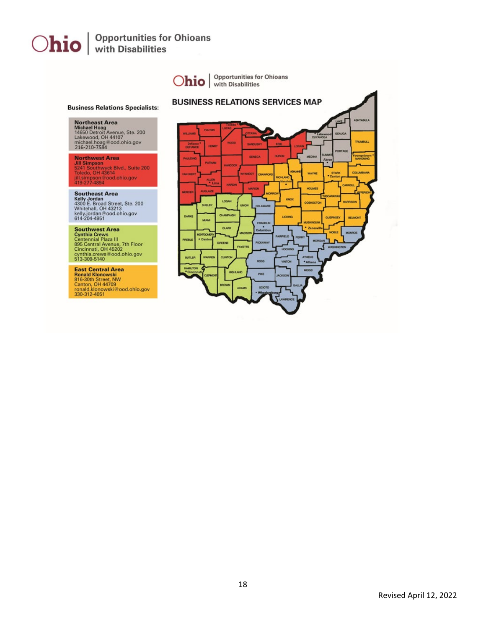

Revised April 12, 2022